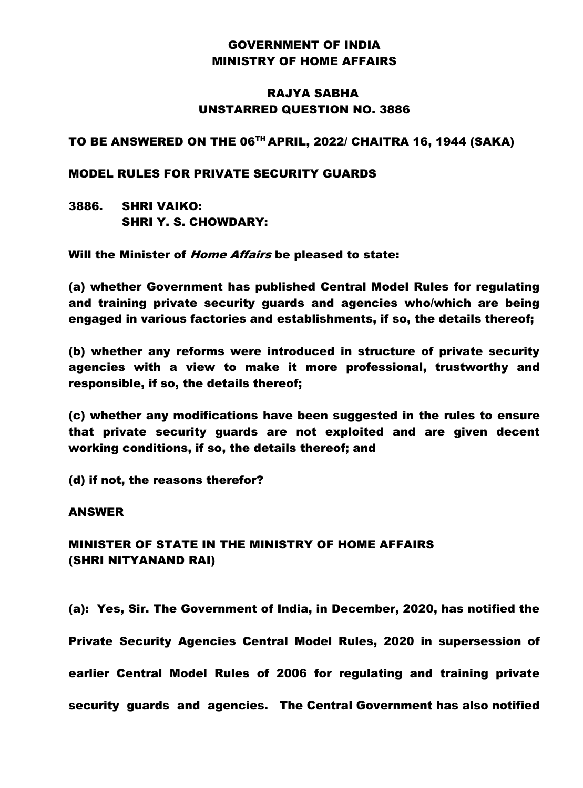# GOVERNMENT OF INDIA MINISTRY OF HOME AFFAIRS

## RAJYA SABHA UNSTARRED QUESTION NO. 3886

### TO BE ANSWERED ON THE 06TH APRIL, 2022/ CHAITRA 16, 1944 (SAKA)

#### MODEL RULES FOR PRIVATE SECURITY GUARDS

3886. SHRI VAIKO: SHRI Y. S. CHOWDARY:

Will the Minister of *Home Affairs* be pleased to state:

(a) whether Government has published Central Model Rules for regulating and training private security guards and agencies who/which are being engaged in various factories and establishments, if so, the details thereof;

(b) whether any reforms were introduced in structure of private security agencies with a view to make it more professional, trustworthy and responsible, if so, the details thereof;

(c) whether any modifications have been suggested in the rules to ensure that private security guards are not exploited and are given decent working conditions, if so, the details thereof; and

(d) if not, the reasons therefor?

#### ANSWER

## MINISTER OF STATE IN THE MINISTRY OF HOME AFFAIRS (SHRI NITYANAND RAI)

(a): Yes, Sir. The Government of India, in December, 2020, has notified the Private Security Agencies Central Model Rules, 2020 in supersession of earlier Central Model Rules of 2006 for regulating and training private security guards and agencies. The Central Government has also notified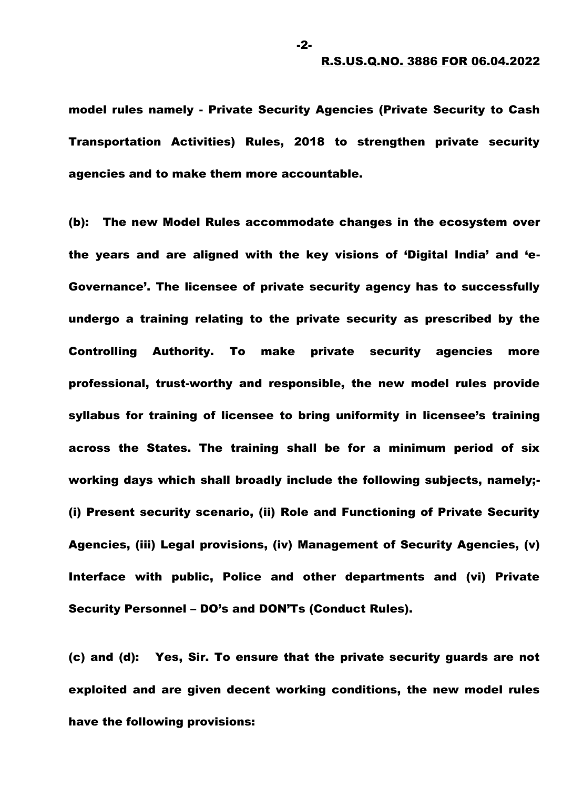model rules namely - Private Security Agencies (Private Security to Cash Transportation Activities) Rules, 2018 to strengthen private security agencies and to make them more accountable.

(b): The new Model Rules accommodate changes in the ecosystem over the years and are aligned with the key visions of 'Digital India' and 'e-Governance'. The licensee of private security agency has to successfully undergo a training relating to the private security as prescribed by the Controlling Authority. To make private security agencies more professional, trust-worthy and responsible, the new model rules provide syllabus for training of licensee to bring uniformity in licensee's training across the States. The training shall be for a minimum period of six working days which shall broadly include the following subjects, namely;- (i) Present security scenario, (ii) Role and Functioning of Private Security Agencies, (iii) Legal provisions, (iv) Management of Security Agencies, (v) Interface with public, Police and other departments and (vi) Private Security Personnel – DO's and DON'Ts (Conduct Rules).

(c) and (d): Yes, Sir. To ensure that the private security guards are not exploited and are given decent working conditions, the new model rules have the following provisions:

-2-